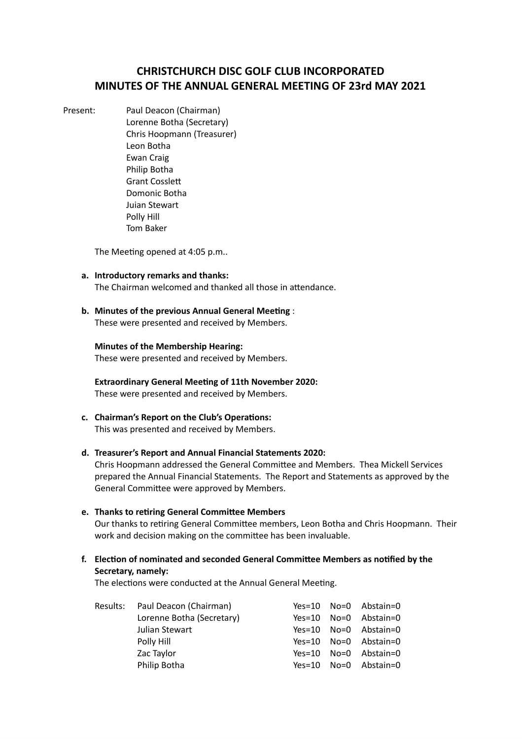# **CHRISTCHURCH DISC GOLF CLUB INCORPORATED MINUTES OF THE ANNUAL GENERAL MEETING OF 23rd MAY 2021**

Present: Paul Deacon (Chairman) Lorenne Botha (Secretary) Chris Hoopmann (Treasurer) Leon Botha Ewan Craig Philip Botha Grant Cossle Domonic Botha Juian Stewart Polly Hill Tom Baker

The Meeting opened at 4:05 p.m..

- **a. Introductory remarks and thanks:** The Chairman welcomed and thanked all those in attendance.
- **b.** Minutes of the previous Annual General Meeting: These were presented and received by Members.

# **Minutes of the Membership Hearing:**

These were presented and received by Members.

**Extraordinary General Meeting of 11th November 2020:** These were presented and received by Members.

**c. Chairman's** Report on the Club's Operations: This was presented and received by Members.

## **d. Treasurer's Report and Annual Financial Statements 2020:**

Chris Hoopmann addressed the General Committee and Members. Thea Mickell Services prepared the Annual Financial Statements. The Report and Statements as approved by the General Committee were approved by Members.

**e. Thanks to rering General Commiee Members**

Our thanks to retiring General Committee members, Leon Botha and Chris Hoopmann. Their work and decision making on the committee has been invaluable.

**f. Elecon of nominated and seconded General Commiee Members as nofied by the Secretary, namely:**

The elections were conducted at the Annual General Meeting.

|  | Results: Paul Deacon (Chairman) |          | Yes=10 No=0 Abstain=0 |
|--|---------------------------------|----------|-----------------------|
|  | Lorenne Botha (Secretary)       | $Yes=10$ | No=0 Abstain=0        |
|  | Julian Stewart                  |          | Yes=10 No=0 Abstain=0 |
|  | Polly Hill                      |          | Yes=10 No=0 Abstain=0 |
|  | Zac Taylor                      | $Yes=10$ | No=0 Abstain=0        |
|  | Philip Botha                    | Yes=10   | No=0 Abstain=0        |